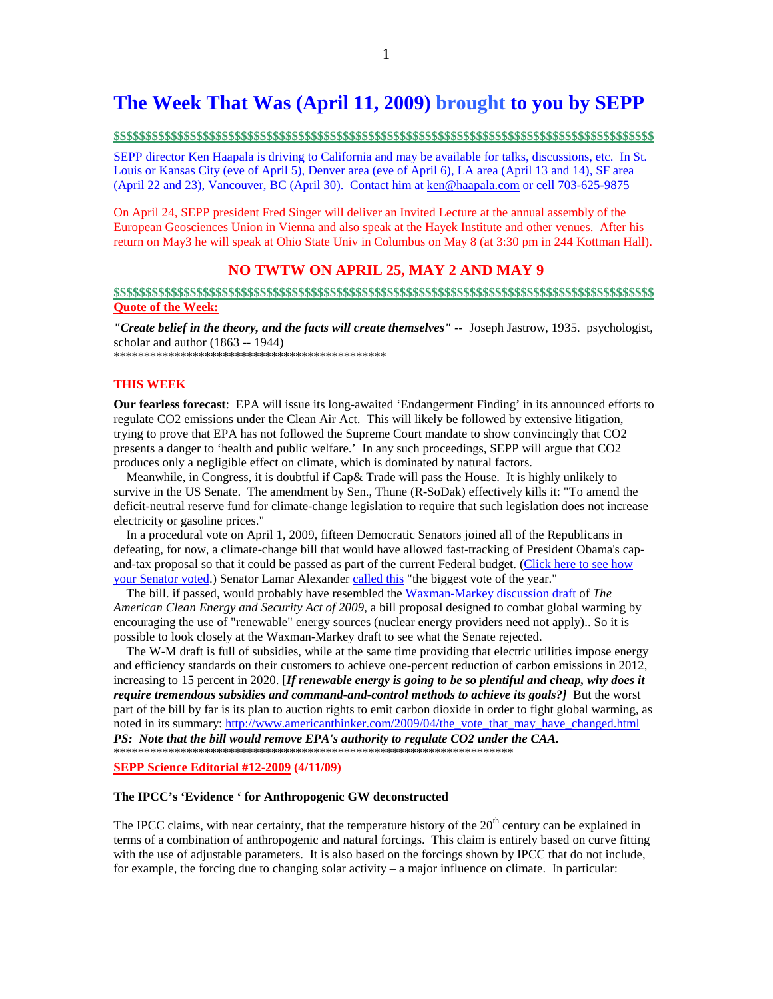## **The Week That Was (April 11, 2009) brought to you by SEPP**

### **\$\$\$\$\$\$\$\$\$\$\$\$\$\$\$\$\$\$\$\$\$\$\$\$\$\$\$\$\$\$\$\$\$\$\$\$\$\$\$\$\$\$\$\$\$\$\$\$\$\$\$\$\$\$\$\$\$\$\$\$\$\$\$\$\$\$\$\$\$\$\$\$\$\$\$\$\$\$\$\$\$\$\$\$\$**

SEPP director Ken Haapala is driving to California and may be available for talks, discussions, etc. In St. Louis or Kansas City (eve of April 5), Denver area (eve of April 6), LA area (April 13 and 14), SF area (April 22 and 23), Vancouver, BC (April 30). Contact him at ken@haapala.com or cell 703-625-9875

On April 24, SEPP president Fred Singer will deliver an Invited Lecture at the annual assembly of the European Geosciences Union in Vienna and also speak at the Hayek Institute and other venues. After his return on May3 he will speak at Ohio State Univ in Columbus on May 8 (at 3:30 pm in 244 Kottman Hall).

## **NO TWTW ON APRIL 25, MAY 2 AND MAY 9**

### **\$\$\$\$\$\$\$\$\$\$\$\$\$\$\$\$\$\$\$\$\$\$\$\$\$\$\$\$\$\$\$\$\$\$\$\$\$\$\$\$\$\$\$\$\$\$\$\$\$\$\$\$\$\$\$\$\$\$\$\$\$\$\$\$\$\$\$\$\$\$\$\$\$\$\$\$\$\$\$\$\$\$\$\$\$ Quote of the Week:**

*"Create belief in the theory, and the facts will create themselves" --* Joseph Jastrow, 1935. psychologist, scholar and author (1863 -- 1944)

\*\*\*\*\*\*\*\*\*\*\*\*\*\*\*\*\*\*\*\*\*\*\*\*\*\*\*\*\*\*\*\*\*\*\*\*\*\*\*\*\*\*\*\*\*

### **THIS WEEK**

**Our fearless forecast**: EPA will issue its long-awaited 'Endangerment Finding' in its announced efforts to regulate CO2 emissions under the Clean Air Act. This will likely be followed by extensive litigation, trying to prove that EPA has not followed the Supreme Court mandate to show convincingly that CO2 presents a danger to 'health and public welfare.' In any such proceedings, SEPP will argue that CO2 produces only a negligible effect on climate, which is dominated by natural factors.

 Meanwhile, in Congress, it is doubtful if Cap& Trade will pass the House. It is highly unlikely to survive in the US Senate. The amendment by Sen., Thune (R-SoDak) effectively kills it: "To amend the deficit-neutral reserve fund for climate-change legislation to require that such legislation does not increase electricity or gasoline prices."

 In a procedural vote on April 1, 2009, fifteen Democratic Senators joined all of the Republicans in defeating, for now, a climate-change bill that would have allowed fast-tracking of President Obama's capand-tax proposal so that it could be passed as part of the current Federal budget. (Click here to see how your Senator voted.) Senator Lamar Alexander called this "the biggest vote of the year."

 The bill. if passed, would probably have resembled the Waxman-Markey discussion draft of *The American Clean Energy and Security Act of 2009*, a bill proposal designed to combat global warming by encouraging the use of "renewable" energy sources (nuclear energy providers need not apply).. So it is possible to look closely at the Waxman-Markey draft to see what the Senate rejected.

 The W-M draft is full of subsidies, while at the same time providing that electric utilities impose energy and efficiency standards on their customers to achieve one-percent reduction of carbon emissions in 2012, increasing to 15 percent in 2020. [*If renewable energy is going to be so plentiful and cheap, why does it require tremendous subsidies and command-and-control methods to achieve its goals?]* But the worst part of the bill by far is its plan to auction rights to emit carbon dioxide in order to fight global warming, as noted in its summary: http://www.americanthinker.com/2009/04/the\_vote\_that\_may\_have\_changed.html *PS: Note that the bill would remove EPA's authority to regulate CO2 under the CAA.* 

\*\*\*\*\*\*\*\*\*\*\*\*\*\*\*\*\*\*\*\*\*\*\*\*\*\*\*\*\*\*\*\*\*\*\*\*\*\*\*\*\*\*\*\*\*\*\*\*\*\*\*\*\*\*\*\*\*\*\*\*\*\*\*\*\*\*

**SEPP Science Editorial #12-2009 (4/11/09)** 

### **The IPCC's 'Evidence ' for Anthropogenic GW deconstructed**

The IPCC claims, with near certainty, that the temperature history of the  $20<sup>th</sup>$  century can be explained in terms of a combination of anthropogenic and natural forcings. This claim is entirely based on curve fitting with the use of adjustable parameters. It is also based on the forcings shown by IPCC that do not include, for example, the forcing due to changing solar activity – a major influence on climate. In particular: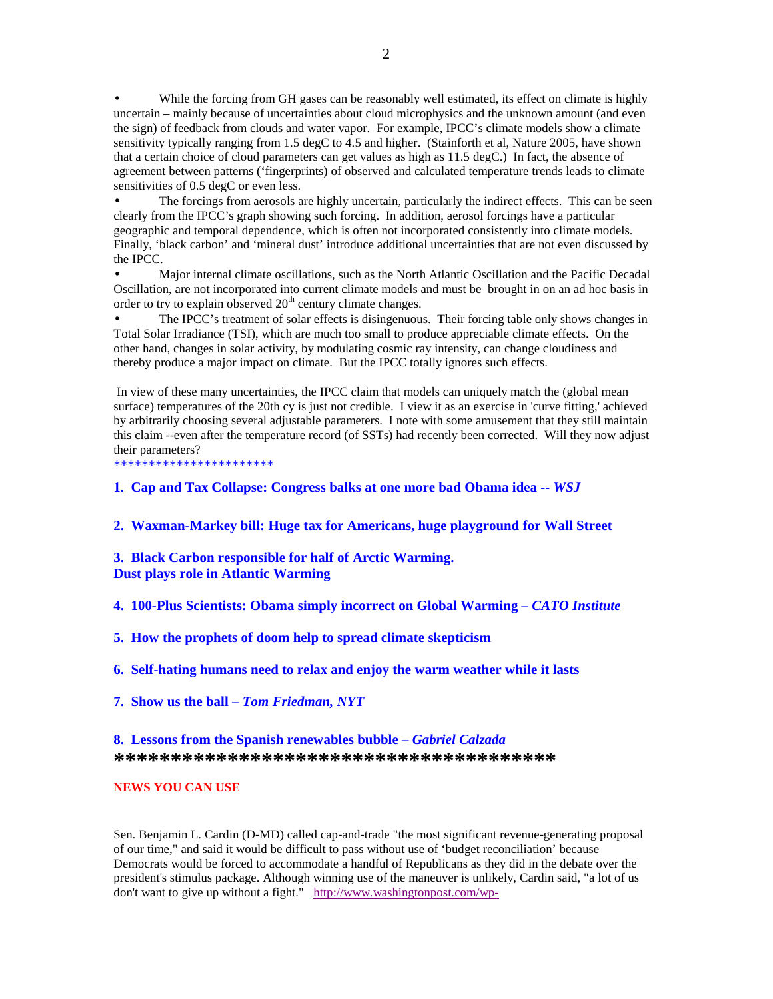While the forcing from GH gases can be reasonably well estimated, its effect on climate is highly uncertain – mainly because of uncertainties about cloud microphysics and the unknown amount (and even the sign) of feedback from clouds and water vapor. For example, IPCC's climate models show a climate sensitivity typically ranging from 1.5 degC to 4.5 and higher. (Stainforth et al, Nature 2005, have shown that a certain choice of cloud parameters can get values as high as 11.5 degC.) In fact, the absence of agreement between patterns ('fingerprints) of observed and calculated temperature trends leads to climate sensitivities of 0.5 degC or even less.

The forcings from aerosols are highly uncertain, particularly the indirect effects. This can be seen clearly from the IPCC's graph showing such forcing. In addition, aerosol forcings have a particular geographic and temporal dependence, which is often not incorporated consistently into climate models. Finally, 'black carbon' and 'mineral dust' introduce additional uncertainties that are not even discussed by the IPCC.

• Major internal climate oscillations, such as the North Atlantic Oscillation and the Pacific Decadal Oscillation, are not incorporated into current climate models and must be brought in on an ad hoc basis in order to try to explain observed  $20<sup>th</sup>$  century climate changes.

• The IPCC's treatment of solar effects is disingenuous. Their forcing table only shows changes in Total Solar Irradiance (TSI), which are much too small to produce appreciable climate effects. On the other hand, changes in solar activity, by modulating cosmic ray intensity, can change cloudiness and thereby produce a major impact on climate. But the IPCC totally ignores such effects.

 In view of these many uncertainties, the IPCC claim that models can uniquely match the (global mean surface) temperatures of the 20th cy is just not credible. I view it as an exercise in 'curve fitting,' achieved by arbitrarily choosing several adjustable parameters. I note with some amusement that they still maintain this claim --even after the temperature record (of SSTs) had recently been corrected. Will they now adjust their parameters?

\*\*\*\*\*\*\*\*\*\*\*\*\*\*\*\*\*\*\*\*

### **1. Cap and Tax Collapse: Congress balks at one more bad Obama idea --** *WSJ*

**2. Waxman-Markey bill: Huge tax for Americans, huge playground for Wall Street** 

## **3. Black Carbon responsible for half of Arctic Warming. Dust plays role in Atlantic Warming**

**4. 100-Plus Scientists: Obama simply incorrect on Global Warming –** *CATO Institute*

**5. How the prophets of doom help to spread climate skepticism** 

**6. Self-hating humans need to relax and enjoy the warm weather while it lasts** 

**7. Show us the ball –** *Tom Friedman, NYT* 

## **8. Lessons from the Spanish renewables bubble –** *Gabriel Calzada* \*\*\*\*\*\*\*\*\*\*\*\*\*\*\*\*\*\*\*\*\*\*\*\*\*\*\*\*\*\*\*\*\*\*\*

### **NEWS YOU CAN USE**

Sen. Benjamin L. Cardin (D-MD) called cap-and-trade "the most significant revenue-generating proposal of our time," and said it would be difficult to pass without use of 'budget reconciliation' because Democrats would be forced to accommodate a handful of Republicans as they did in the debate over the president's stimulus package. Although winning use of the maneuver is unlikely, Cardin said, "a lot of us don't want to give up without a fight." http://www.washingtonpost.com/wp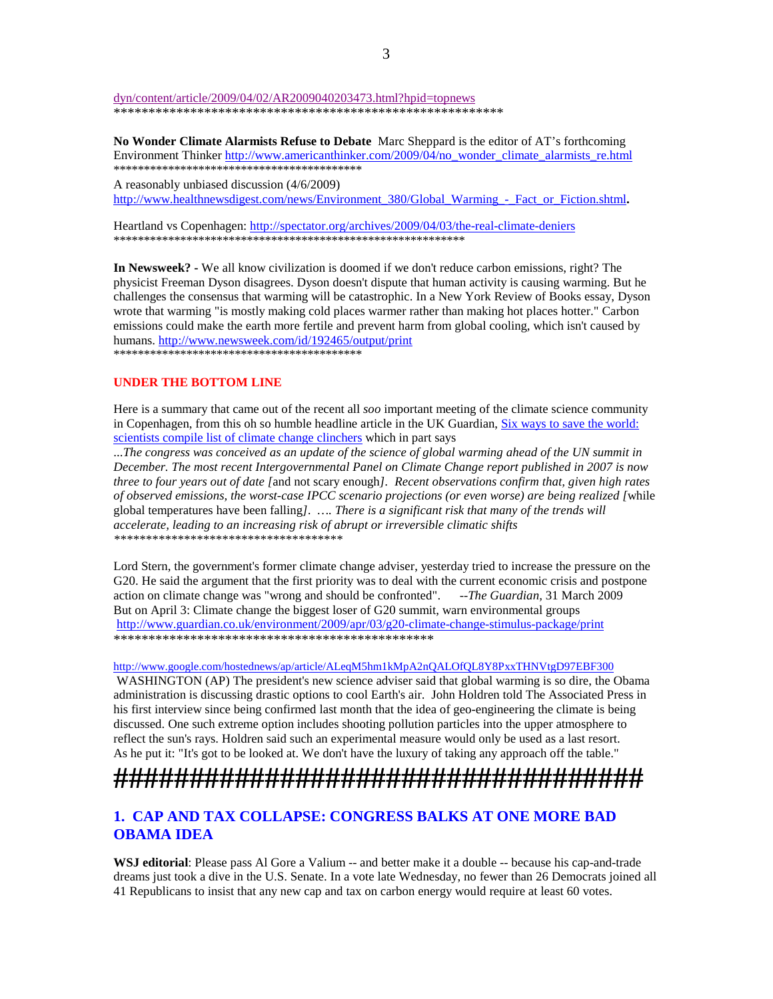dyn/content/article/2009/04/02/AR2009040203473.html?hpid=topnews \*\*\*\*\*\*\*\*\*\*\*\*\*\*\*\*\*\*\*\*\*\*\*\*\*\*\*\*\*\*\*\*\*\*\*\*\*\*\*\*\*\*\*\*\*\*\*\*\*\*\*\*\*\*\*\*

**No Wonder Climate Alarmists Refuse to Debate** Marc Sheppard is the editor of AT's forthcoming Environment Thinker http://www.americanthinker.com/2009/04/no\_wonder\_climate\_alarmists\_re.html \*\*\*\*\*\*\*\*\*\*\*\*\*\*\*\*\*\*\*\*\*\*\*\*\*\*\*\*\*\*\*\*\*\*\*\*\*\*\*\*\*

A reasonably unbiased discussion (4/6/2009) http://www.healthnewsdigest.com/news/Environment\_380/Global\_Warming\_-\_Fact\_or\_Fiction.shtml**.**

Heartland vs Copenhagen: http://spectator.org/archives/2009/04/03/the-real-climate-deniers \*\*\*\*\*\*\*\*\*\*\*\*\*\*\*\*\*\*\*\*\*\*\*\*\*\*\*\*\*\*\*\*\*\*\*\*\*\*\*\*\*\*\*\*\*\*\*\*\*\*\*\*\*\*\*\*\*\*

**In Newsweek? -** We all know civilization is doomed if we don't reduce carbon emissions, right? The physicist Freeman Dyson disagrees. Dyson doesn't dispute that human activity is causing warming. But he challenges the consensus that warming will be catastrophic. In a New York Review of Books essay, Dyson wrote that warming "is mostly making cold places warmer rather than making hot places hotter." Carbon emissions could make the earth more fertile and prevent harm from global cooling, which isn't caused by humans. http://www.newsweek.com/id/192465/output/print \*\*\*\*\*\*\*\*\*\*\*\*\*\*\*\*\*\*\*\*\*\*\*\*\*\*\*\*\*\*\*\*\*\*\*\*\*\*\*\*\*

### **UNDER THE BOTTOM LINE**

Here is a summary that came out of the recent all *soo* important meeting of the climate science community in Copenhagen, from this oh so humble headline article in the UK Guardian, Six ways to save the world: scientists compile list of climate change clinchers which in part says

...*The congress was conceived as an update of the science of global warming ahead of the UN summit in December. The most recent Intergovernmental Panel on Climate Change report published in 2007 is now three to four years out of date [*and not scary enough*]. Recent observations confirm that, given high rates of observed emissions, the worst-case IPCC scenario projections (or even worse) are being realized [*while global temperatures have been falling*]. …. There is a significant risk that many of the trends will accelerate, leading to an increasing risk of abrupt or irreversible climatic shifts \*\*\*\*\*\*\*\*\*\*\*\*\*\*\*\*\*\*\*\*\*\*\*\*\*\*\*\*\*\*\*\*\*\*\*\** 

Lord Stern, the government's former climate change adviser, yesterday tried to increase the pressure on the G20. He said the argument that the first priority was to deal with the current economic crisis and postpone action on climate change was "wrong and should be confronted". --*The Guardian,* 31 March 2009 But on April 3: Climate change the biggest loser of G20 summit, warn environmental groups http://www.guardian.co.uk/environment/2009/apr/03/g20-climate-change-stimulus-package/print \*\*\*\*\*\*\*\*\*\*\*\*\*\*\*\*\*\*\*\*\*\*\*\*\*\*\*\*\*\*\*\*\*\*\*\*\*\*\*\*\*\*\*\*\*\*

#### http://www.google.com/hostednews/ap/article/ALeqM5hm1kMpA2nQALOfQL8Y8PxxTHNVtgD97EBF300

 WASHINGTON (AP) The president's new science adviser said that global warming is so dire, the Obama administration is discussing drastic options to cool Earth's air. John Holdren told The Associated Press in his first interview since being confirmed last month that the idea of geo-engineering the climate is being discussed. One such extreme option includes shooting pollution particles into the upper atmosphere to reflect the sun's rays. Holdren said such an experimental measure would only be used as a last resort. As he put it: "It's got to be looked at. We don't have the luxury of taking any approach off the table."

# **###################################**

## **1. CAP AND TAX COLLAPSE: CONGRESS BALKS AT ONE MORE BAD OBAMA IDEA**

WSJ editorial: Please pass Al Gore a Valium -- and better make it a double -- because his cap-and-trade dreams just took a dive in the U.S. Senate. In a vote late Wednesday, no fewer than 26 Democrats joined all 41 Republicans to insist that any new cap and tax on carbon energy would require at least 60 votes.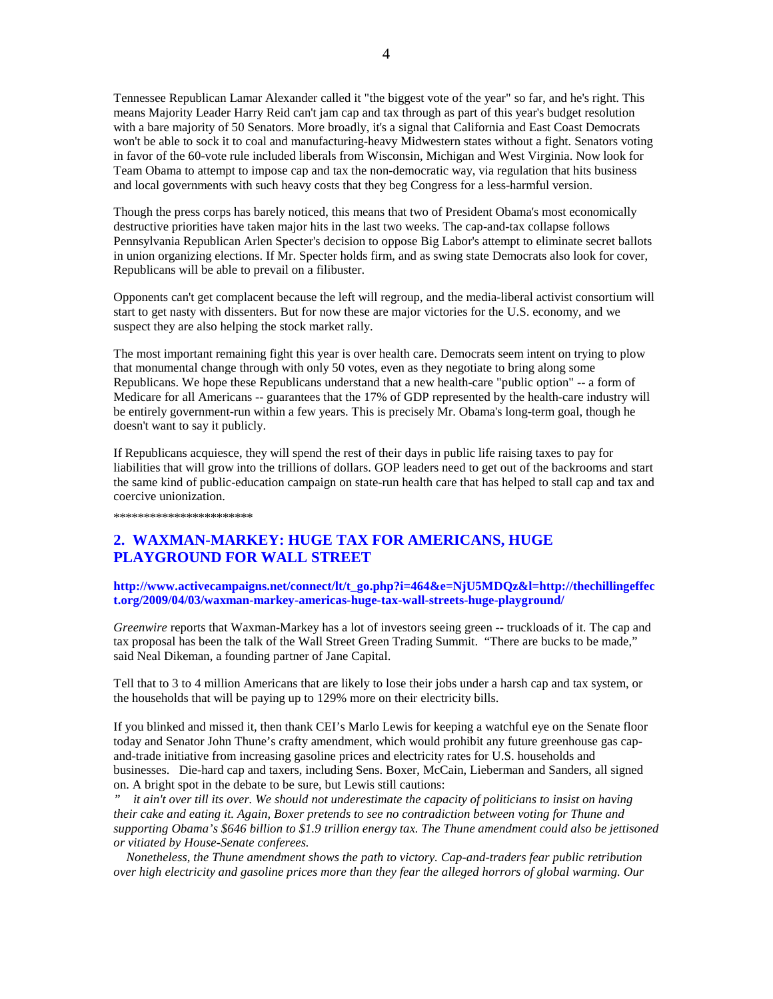Tennessee Republican Lamar Alexander called it "the biggest vote of the year" so far, and he's right. This means Majority Leader Harry Reid can't jam cap and tax through as part of this year's budget resolution with a bare majority of 50 Senators. More broadly, it's a signal that California and East Coast Democrats won't be able to sock it to coal and manufacturing-heavy Midwestern states without a fight. Senators voting in favor of the 60-vote rule included liberals from Wisconsin, Michigan and West Virginia. Now look for Team Obama to attempt to impose cap and tax the non-democratic way, via regulation that hits business and local governments with such heavy costs that they beg Congress for a less-harmful version.

Though the press corps has barely noticed, this means that two of President Obama's most economically destructive priorities have taken major hits in the last two weeks. The cap-and-tax collapse follows Pennsylvania Republican Arlen Specter's decision to oppose Big Labor's attempt to eliminate secret ballots in union organizing elections. If Mr. Specter holds firm, and as swing state Democrats also look for cover, Republicans will be able to prevail on a filibuster.

Opponents can't get complacent because the left will regroup, and the media-liberal activist consortium will start to get nasty with dissenters. But for now these are major victories for the U.S. economy, and we suspect they are also helping the stock market rally.

The most important remaining fight this year is over health care. Democrats seem intent on trying to plow that monumental change through with only 50 votes, even as they negotiate to bring along some Republicans. We hope these Republicans understand that a new health-care "public option" -- a form of Medicare for all Americans -- guarantees that the 17% of GDP represented by the health-care industry will be entirely government-run within a few years. This is precisely Mr. Obama's long-term goal, though he doesn't want to say it publicly.

If Republicans acquiesce, they will spend the rest of their days in public life raising taxes to pay for liabilities that will grow into the trillions of dollars. GOP leaders need to get out of the backrooms and start the same kind of public-education campaign on state-run health care that has helped to stall cap and tax and coercive unionization.

\*\*\*\*\*\*\*\*\*\*\*\*\*\*\*\*\*\*\*\*

## **2. WAXMAN-MARKEY: HUGE TAX FOR AMERICANS, HUGE PLAYGROUND FOR WALL STREET**

### **http://www.activecampaigns.net/connect/lt/t\_go.php?i=464&e=NjU5MDQz&l=http://thechillingeffec t.org/2009/04/03/waxman-markey-americas-huge-tax-wall-streets-huge-playground/**

*Greenwire* reports that Waxman-Markey has a lot of investors seeing green -- truckloads of it. The cap and tax proposal has been the talk of the Wall Street Green Trading Summit. "There are bucks to be made," said Neal Dikeman, a founding partner of Jane Capital.

Tell that to 3 to 4 million Americans that are likely to lose their jobs under a harsh cap and tax system, or the households that will be paying up to 129% more on their electricity bills.

If you blinked and missed it, then thank CEI's Marlo Lewis for keeping a watchful eye on the Senate floor today and Senator John Thune's crafty amendment, which would prohibit any future greenhouse gas capand-trade initiative from increasing gasoline prices and electricity rates for U.S. households and businesses. Die-hard cap and taxers, including Sens. Boxer, McCain, Lieberman and Sanders, all signed on. A bright spot in the debate to be sure, but Lewis still cautions:

*" it ain't over till its over. We should not underestimate the capacity of politicians to insist on having their cake and eating it. Again, Boxer pretends to see no contradiction between voting for Thune and supporting Obama's \$646 billion to \$1.9 trillion energy tax. The Thune amendment could also be jettisoned or vitiated by House-Senate conferees.* 

 *Nonetheless, the Thune amendment shows the path to victory. Cap-and-traders fear public retribution over high electricity and gasoline prices more than they fear the alleged horrors of global warming. Our*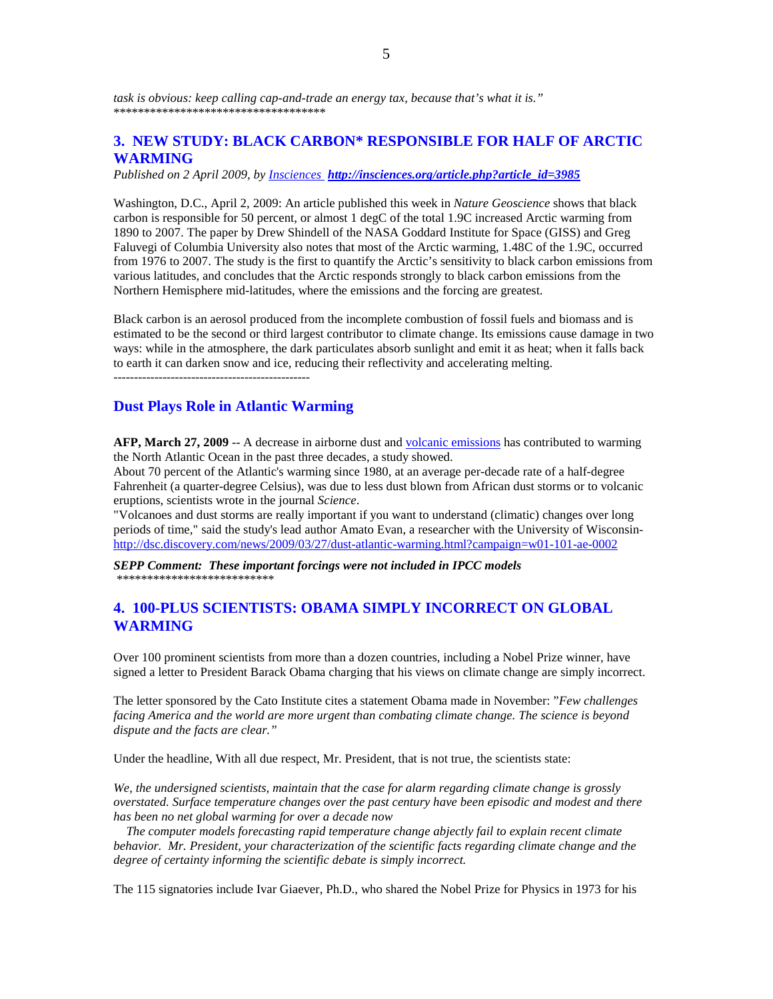## **3. NEW STUDY: BLACK CARBON\* RESPONSIBLE FOR HALF OF ARCTIC WARMING**

*Published on 2 April 2009, by Insciences http://insciences.org/article.php?article\_id=3985*

Washington, D.C., April 2, 2009: An article published this week in *Nature Geoscience* shows that black carbon is responsible for 50 percent, or almost 1 degC of the total 1.9C increased Arctic warming from 1890 to 2007. The paper by Drew Shindell of the NASA Goddard Institute for Space (GISS) and Greg Faluvegi of Columbia University also notes that most of the Arctic warming, 1.48C of the 1.9C, occurred from 1976 to 2007. The study is the first to quantify the Arctic's sensitivity to black carbon emissions from various latitudes, and concludes that the Arctic responds strongly to black carbon emissions from the Northern Hemisphere mid-latitudes, where the emissions and the forcing are greatest.

Black carbon is an aerosol produced from the incomplete combustion of fossil fuels and biomass and is estimated to be the second or third largest contributor to climate change. Its emissions cause damage in two ways: while in the atmosphere, the dark particulates absorb sunlight and emit it as heat; when it falls back to earth it can darken snow and ice, reducing their reflectivity and accelerating melting.

------------------------------------------------

## **Dust Plays Role in Atlantic Warming**

**AFP, March 27, 2009** -- A decrease in airborne dust and volcanic emissions has contributed to warming the North Atlantic Ocean in the past three decades, a study showed.

About 70 percent of the Atlantic's warming since 1980, at an average per-decade rate of a half-degree Fahrenheit (a quarter-degree Celsius), was due to less dust blown from African dust storms or to volcanic eruptions, scientists wrote in the journal *Science*.

"Volcanoes and dust storms are really important if you want to understand (climatic) changes over long periods of time," said the study's lead author Amato Evan, a researcher with the University of Wisconsinhttp://dsc.discovery.com/news/2009/03/27/dust-atlantic-warming.html?campaign=w01-101-ae-0002

*SEPP Comment: These important forcings were not included in IPCC models*  \*\*\*\*\*\*\*\*\*\*\*\*\*\*\*\*\*\*\*\*\*\*\*\*\*\*

## **4. 100-PLUS SCIENTISTS: OBAMA SIMPLY INCORRECT ON GLOBAL WARMING**

Over 100 prominent scientists from more than a dozen countries, including a Nobel Prize winner, have signed a letter to President Barack Obama charging that his views on climate change are simply incorrect.

The letter sponsored by the Cato Institute cites a statement Obama made in November: "*Few challenges facing America and the world are more urgent than combating climate change. The science is beyond dispute and the facts are clear."*

Under the headline, With all due respect, Mr. President, that is not true, the scientists state:

*We, the undersigned scientists, maintain that the case for alarm regarding climate change is grossly overstated. Surface temperature changes over the past century have been episodic and modest and there has been no net global warming for over a decade now* 

 *The computer models forecasting rapid temperature change abjectly fail to explain recent climate behavior. Mr. President, your characterization of the scientific facts regarding climate change and the degree of certainty informing the scientific debate is simply incorrect.* 

The 115 signatories include Ivar Giaever, Ph.D., who shared the Nobel Prize for Physics in 1973 for his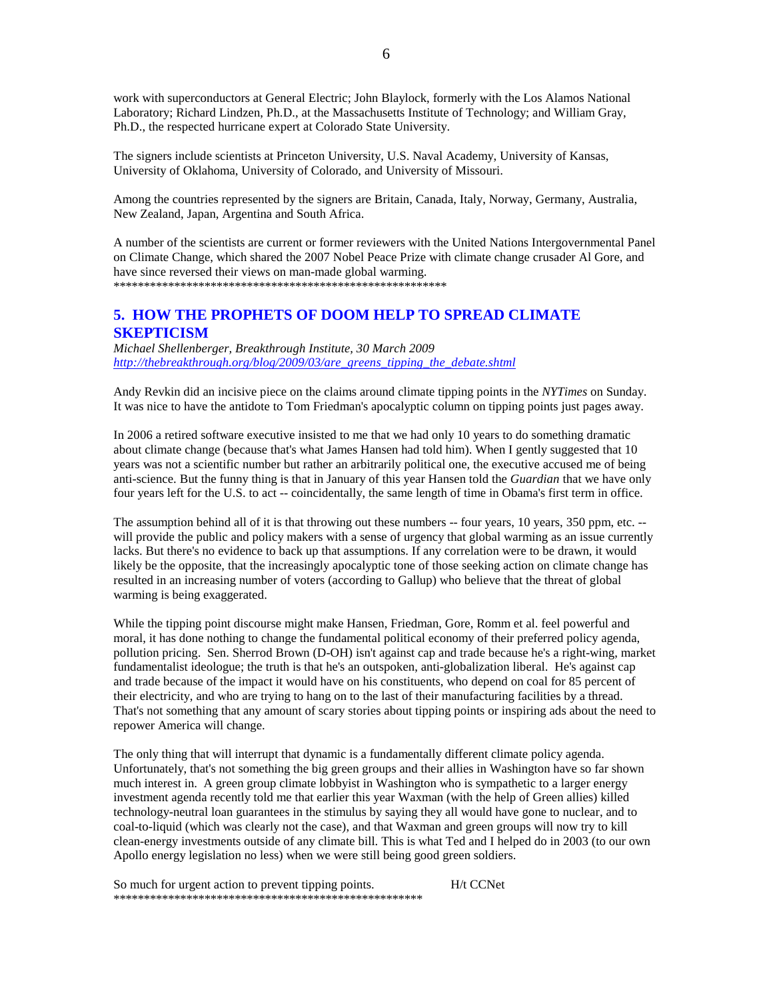work with superconductors at General Electric; John Blaylock, formerly with the Los Alamos National Laboratory; Richard Lindzen, Ph.D., at the Massachusetts Institute of Technology; and William Gray, Ph.D., the respected hurricane expert at Colorado State University.

The signers include scientists at Princeton University, U.S. Naval Academy, University of Kansas, University of Oklahoma, University of Colorado, and University of Missouri.

Among the countries represented by the signers are Britain, Canada, Italy, Norway, Germany, Australia, New Zealand, Japan, Argentina and South Africa.

A number of the scientists are current or former reviewers with the United Nations Intergovernmental Panel on Climate Change, which shared the 2007 Nobel Peace Prize with climate change crusader Al Gore, and have since reversed their views on man-made global warming. \*\*\*\*\*\*\*\*\*\*\*\*\*\*\*\*\*\*\*\*\*\*\*\*\*\*\*\*\*\*\*\*\*\*\*\*\*\*\*\*\*\*\*\*\*\*\*\*\*\*\*\*\*\*\*

## **5. HOW THE PROPHETS OF DOOM HELP TO SPREAD CLIMATE SKEPTICISM**

*Michael Shellenberger, Breakthrough Institute, 30 March 2009 http://thebreakthrough.org/blog/2009/03/are\_greens\_tipping\_the\_debate.shtml* 

Andy Revkin did an incisive piece on the claims around climate tipping points in the *NYTimes* on Sunday. It was nice to have the antidote to Tom Friedman's apocalyptic column on tipping points just pages away.

In 2006 a retired software executive insisted to me that we had only 10 years to do something dramatic about climate change (because that's what James Hansen had told him). When I gently suggested that 10 years was not a scientific number but rather an arbitrarily political one, the executive accused me of being anti-science. But the funny thing is that in January of this year Hansen told the *Guardian* that we have only four years left for the U.S. to act -- coincidentally, the same length of time in Obama's first term in office.

The assumption behind all of it is that throwing out these numbers -- four years, 10 years, 350 ppm, etc. -will provide the public and policy makers with a sense of urgency that global warming as an issue currently lacks. But there's no evidence to back up that assumptions. If any correlation were to be drawn, it would likely be the opposite, that the increasingly apocalyptic tone of those seeking action on climate change has resulted in an increasing number of voters (according to Gallup) who believe that the threat of global warming is being exaggerated.

While the tipping point discourse might make Hansen, Friedman, Gore, Romm et al. feel powerful and moral, it has done nothing to change the fundamental political economy of their preferred policy agenda, pollution pricing. Sen. Sherrod Brown (D-OH) isn't against cap and trade because he's a right-wing, market fundamentalist ideologue; the truth is that he's an outspoken, anti-globalization liberal. He's against cap and trade because of the impact it would have on his constituents, who depend on coal for 85 percent of their electricity, and who are trying to hang on to the last of their manufacturing facilities by a thread. That's not something that any amount of scary stories about tipping points or inspiring ads about the need to repower America will change.

The only thing that will interrupt that dynamic is a fundamentally different climate policy agenda. Unfortunately, that's not something the big green groups and their allies in Washington have so far shown much interest in. A green group climate lobbyist in Washington who is sympathetic to a larger energy investment agenda recently told me that earlier this year Waxman (with the help of Green allies) killed technology-neutral loan guarantees in the stimulus by saying they all would have gone to nuclear, and to coal-to-liquid (which was clearly not the case), and that Waxman and green groups will now try to kill clean-energy investments outside of any climate bill. This is what Ted and I helped do in 2003 (to our own Apollo energy legislation no less) when we were still being good green soldiers.

So much for urgent action to prevent tipping points. H/t CCNet \*\*\*\*\*\*\*\*\*\*\*\*\*\*\*\*\*\*\*\*\*\*\*\*\*\*\*\*\*\*\*\*\*\*\*\*\*\*\*\*\*\*\*\*\*\*\*\*\*\*\*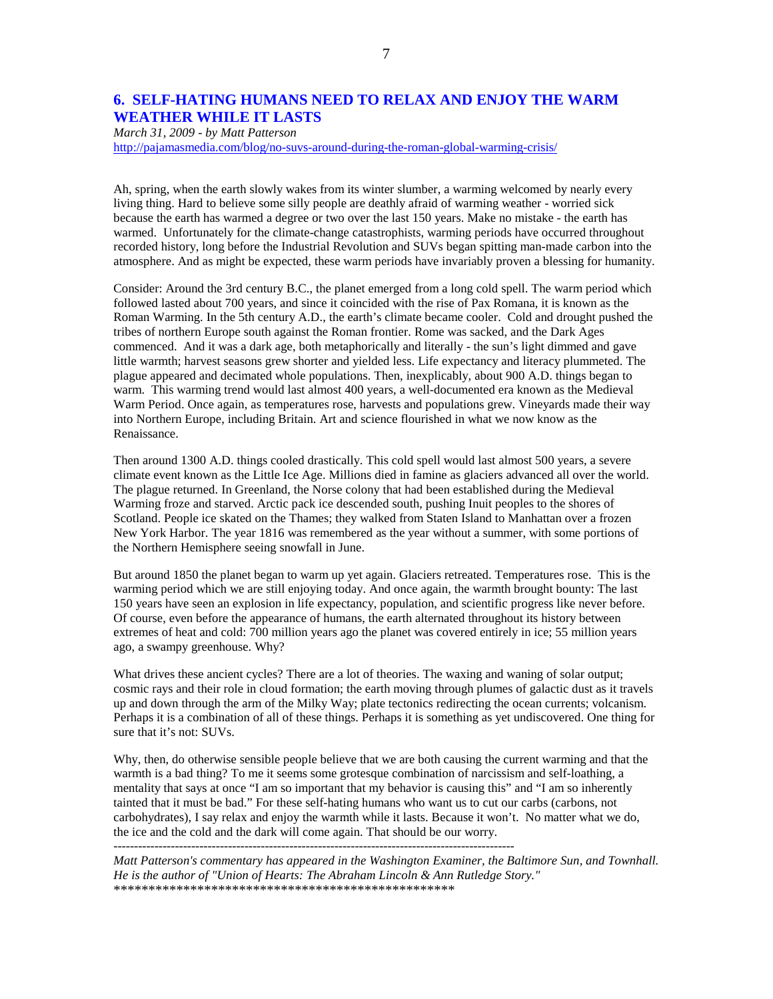## **6. SELF-HATING HUMANS NEED TO RELAX AND ENJOY THE WARM WEATHER WHILE IT LASTS**

*March 31, 2009 - by Matt Patterson* 

http://pajamasmedia.com/blog/no-suvs-around-during-the-roman-global-warming-crisis/

Ah, spring, when the earth slowly wakes from its winter slumber, a warming welcomed by nearly every living thing. Hard to believe some silly people are deathly afraid of warming weather - worried sick because the earth has warmed a degree or two over the last 150 years. Make no mistake - the earth has warmed. Unfortunately for the climate-change catastrophists, warming periods have occurred throughout recorded history, long before the Industrial Revolution and SUVs began spitting man-made carbon into the atmosphere. And as might be expected, these warm periods have invariably proven a blessing for humanity.

Consider: Around the 3rd century B.C., the planet emerged from a long cold spell. The warm period which followed lasted about 700 years, and since it coincided with the rise of Pax Romana, it is known as the Roman Warming. In the 5th century A.D., the earth's climate became cooler. Cold and drought pushed the tribes of northern Europe south against the Roman frontier. Rome was sacked, and the Dark Ages commenced. And it was a dark age, both metaphorically and literally - the sun's light dimmed and gave little warmth; harvest seasons grew shorter and yielded less. Life expectancy and literacy plummeted. The plague appeared and decimated whole populations. Then, inexplicably, about 900 A.D. things began to warm. This warming trend would last almost 400 years, a well-documented era known as the Medieval Warm Period. Once again, as temperatures rose, harvests and populations grew. Vineyards made their way into Northern Europe, including Britain. Art and science flourished in what we now know as the Renaissance.

Then around 1300 A.D. things cooled drastically. This cold spell would last almost 500 years, a severe climate event known as the Little Ice Age. Millions died in famine as glaciers advanced all over the world. The plague returned. In Greenland, the Norse colony that had been established during the Medieval Warming froze and starved. Arctic pack ice descended south, pushing Inuit peoples to the shores of Scotland. People ice skated on the Thames; they walked from Staten Island to Manhattan over a frozen New York Harbor. The year 1816 was remembered as the year without a summer, with some portions of the Northern Hemisphere seeing snowfall in June.

But around 1850 the planet began to warm up yet again. Glaciers retreated. Temperatures rose. This is the warming period which we are still enjoying today. And once again, the warmth brought bounty: The last 150 years have seen an explosion in life expectancy, population, and scientific progress like never before. Of course, even before the appearance of humans, the earth alternated throughout its history between extremes of heat and cold: 700 million years ago the planet was covered entirely in ice; 55 million years ago, a swampy greenhouse. Why?

What drives these ancient cycles? There are a lot of theories. The waxing and waning of solar output; cosmic rays and their role in cloud formation; the earth moving through plumes of galactic dust as it travels up and down through the arm of the Milky Way; plate tectonics redirecting the ocean currents; volcanism. Perhaps it is a combination of all of these things. Perhaps it is something as yet undiscovered. One thing for sure that it's not: SUVs.

Why, then, do otherwise sensible people believe that we are both causing the current warming and that the warmth is a bad thing? To me it seems some grotesque combination of narcissism and self-loathing, a mentality that says at once "I am so important that my behavior is causing this" and "I am so inherently tainted that it must be bad." For these self-hating humans who want us to cut our carbs (carbons, not carbohydrates), I say relax and enjoy the warmth while it lasts. Because it won't. No matter what we do, the ice and the cold and the dark will come again. That should be our worry. --------------------------------------------------------------------------------------------------

*Matt Patterson's commentary has appeared in the Washington Examiner, the Baltimore Sun, and Townhall. He is the author of "Union of Hearts: The Abraham Lincoln & Ann Rutledge Story."*  \*\*\*\*\*\*\*\*\*\*\*\*\*\*\*\*\*\*\*\*\*\*\*\*\*\*\*\*\*\*\*\*\*\*\*\*\*\*\*\*\*\*\*\*\*\*\*\*\*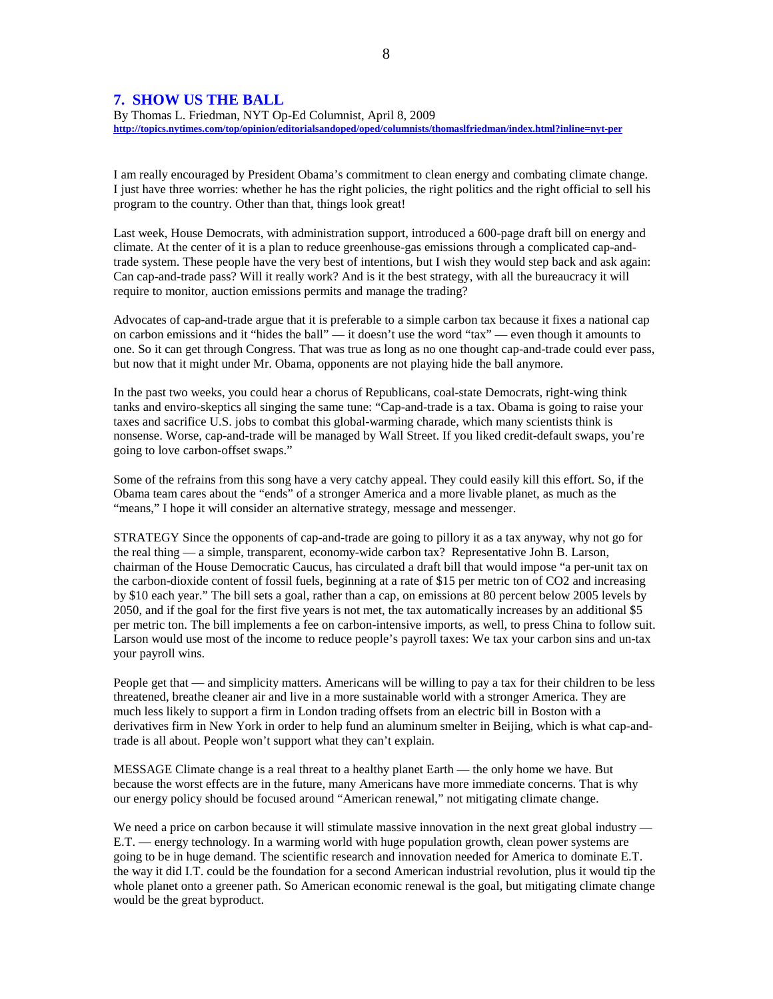### **7. SHOW US THE BALL**

By Thomas L. Friedman, NYT Op-Ed Columnist, April 8, 2009 **http://topics.nytimes.com/top/opinion/editorialsandoped/oped/columnists/thomaslfriedman/index.html?inline=nyt-per**

I am really encouraged by President Obama's commitment to clean energy and combating climate change. I just have three worries: whether he has the right policies, the right politics and the right official to sell his program to the country. Other than that, things look great!

Last week, House Democrats, with administration support, introduced a 600-page draft bill on energy and climate. At the center of it is a plan to reduce greenhouse-gas emissions through a complicated cap-andtrade system. These people have the very best of intentions, but I wish they would step back and ask again: Can cap-and-trade pass? Will it really work? And is it the best strategy, with all the bureaucracy it will require to monitor, auction emissions permits and manage the trading?

Advocates of cap-and-trade argue that it is preferable to a simple carbon tax because it fixes a national cap on carbon emissions and it "hides the ball" — it doesn't use the word "tax" — even though it amounts to one. So it can get through Congress. That was true as long as no one thought cap-and-trade could ever pass, but now that it might under Mr. Obama, opponents are not playing hide the ball anymore.

In the past two weeks, you could hear a chorus of Republicans, coal-state Democrats, right-wing think tanks and enviro-skeptics all singing the same tune: "Cap-and-trade is a tax. Obama is going to raise your taxes and sacrifice U.S. jobs to combat this global-warming charade, which many scientists think is nonsense. Worse, cap-and-trade will be managed by Wall Street. If you liked credit-default swaps, you're going to love carbon-offset swaps."

Some of the refrains from this song have a very catchy appeal. They could easily kill this effort. So, if the Obama team cares about the "ends" of a stronger America and a more livable planet, as much as the "means," I hope it will consider an alternative strategy, message and messenger.

STRATEGY Since the opponents of cap-and-trade are going to pillory it as a tax anyway, why not go for the real thing — a simple, transparent, economy-wide carbon tax? Representative John B. Larson, chairman of the House Democratic Caucus, has circulated a draft bill that would impose "a per-unit tax on the carbon-dioxide content of fossil fuels, beginning at a rate of \$15 per metric ton of CO2 and increasing by \$10 each year." The bill sets a goal, rather than a cap, on emissions at 80 percent below 2005 levels by 2050, and if the goal for the first five years is not met, the tax automatically increases by an additional \$5 per metric ton. The bill implements a fee on carbon-intensive imports, as well, to press China to follow suit. Larson would use most of the income to reduce people's payroll taxes: We tax your carbon sins and un-tax your payroll wins.

People get that — and simplicity matters. Americans will be willing to pay a tax for their children to be less threatened, breathe cleaner air and live in a more sustainable world with a stronger America. They are much less likely to support a firm in London trading offsets from an electric bill in Boston with a derivatives firm in New York in order to help fund an aluminum smelter in Beijing, which is what cap-andtrade is all about. People won't support what they can't explain.

MESSAGE Climate change is a real threat to a healthy planet Earth — the only home we have. But because the worst effects are in the future, many Americans have more immediate concerns. That is why our energy policy should be focused around "American renewal," not mitigating climate change.

We need a price on carbon because it will stimulate massive innovation in the next great global industry — E.T. — energy technology. In a warming world with huge population growth, clean power systems are going to be in huge demand. The scientific research and innovation needed for America to dominate E.T. the way it did I.T. could be the foundation for a second American industrial revolution, plus it would tip the whole planet onto a greener path. So American economic renewal is the goal, but mitigating climate change would be the great byproduct.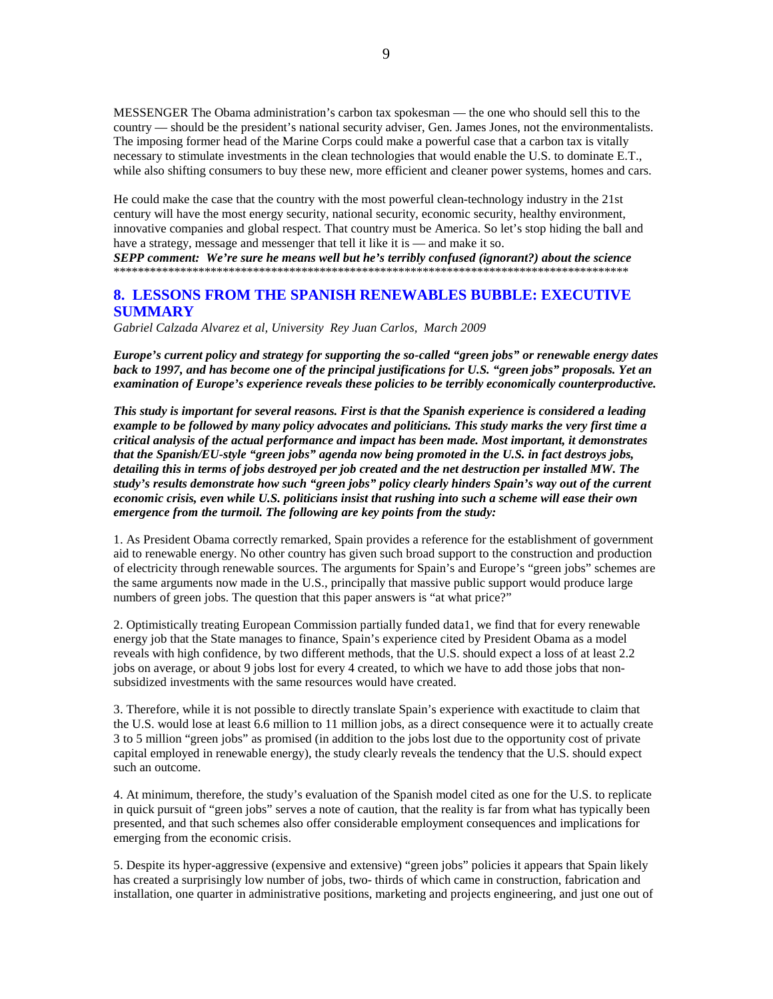MESSENGER The Obama administration's carbon tax spokesman — the one who should sell this to the country — should be the president's national security adviser, Gen. James Jones, not the environmentalists. The imposing former head of the Marine Corps could make a powerful case that a carbon tax is vitally necessary to stimulate investments in the clean technologies that would enable the U.S. to dominate E.T., while also shifting consumers to buy these new, more efficient and cleaner power systems, homes and cars.

He could make the case that the country with the most powerful clean-technology industry in the 21st century will have the most energy security, national security, economic security, healthy environment, innovative companies and global respect. That country must be America. So let's stop hiding the ball and have a strategy, message and messenger that tell it like it is — and make it so.

*SEPP comment: We're sure he means well but he's terribly confused (ignorant?) about the science* \*\*\*\*\*\*\*\*\*\*\*\*\*\*\*\*\*\*\*\*\*\*\*\*\*\*\*\*\*\*\*\*\*\*\*\*\*\*\*\*\*\*\*\*\*\*\*\*\*\*\*\*\*\*\*\*\*\*\*\*\*\*\*\*\*\*\*\*\*\*\*\*\*\*\*\*\*\*\*\*\*\*\*\*\*

## **8. LESSONS FROM THE SPANISH RENEWABLES BUBBLE: EXECUTIVE SUMMARY**

*Gabriel Calzada Alvarez et al, University Rey Juan Carlos, March 2009* 

*Europe's current policy and strategy for supporting the so-called "green jobs" or renewable energy dates back to 1997, and has become one of the principal justifications for U.S. "green jobs" proposals. Yet an examination of Europe's experience reveals these policies to be terribly economically counterproductive.* 

*This study is important for several reasons. First is that the Spanish experience is considered a leading example to be followed by many policy advocates and politicians. This study marks the very first time a critical analysis of the actual performance and impact has been made. Most important, it demonstrates that the Spanish/EU-style "green jobs" agenda now being promoted in the U.S. in fact destroys jobs, detailing this in terms of jobs destroyed per job created and the net destruction per installed MW. The study's results demonstrate how such "green jobs" policy clearly hinders Spain's way out of the current economic crisis, even while U.S. politicians insist that rushing into such a scheme will ease their own emergence from the turmoil. The following are key points from the study:* 

1. As President Obama correctly remarked, Spain provides a reference for the establishment of government aid to renewable energy. No other country has given such broad support to the construction and production of electricity through renewable sources. The arguments for Spain's and Europe's "green jobs" schemes are the same arguments now made in the U.S., principally that massive public support would produce large numbers of green jobs. The question that this paper answers is "at what price?"

2. Optimistically treating European Commission partially funded data1, we find that for every renewable energy job that the State manages to finance, Spain's experience cited by President Obama as a model reveals with high confidence, by two different methods, that the U.S. should expect a loss of at least 2.2 jobs on average, or about 9 jobs lost for every 4 created, to which we have to add those jobs that nonsubsidized investments with the same resources would have created.

3. Therefore, while it is not possible to directly translate Spain's experience with exactitude to claim that the U.S. would lose at least 6.6 million to 11 million jobs, as a direct consequence were it to actually create 3 to 5 million "green jobs" as promised (in addition to the jobs lost due to the opportunity cost of private capital employed in renewable energy), the study clearly reveals the tendency that the U.S. should expect such an outcome.

4. At minimum, therefore, the study's evaluation of the Spanish model cited as one for the U.S. to replicate in quick pursuit of "green jobs" serves a note of caution, that the reality is far from what has typically been presented, and that such schemes also offer considerable employment consequences and implications for emerging from the economic crisis.

5. Despite its hyper-aggressive (expensive and extensive) "green jobs" policies it appears that Spain likely has created a surprisingly low number of jobs, two- thirds of which came in construction, fabrication and installation, one quarter in administrative positions, marketing and projects engineering, and just one out of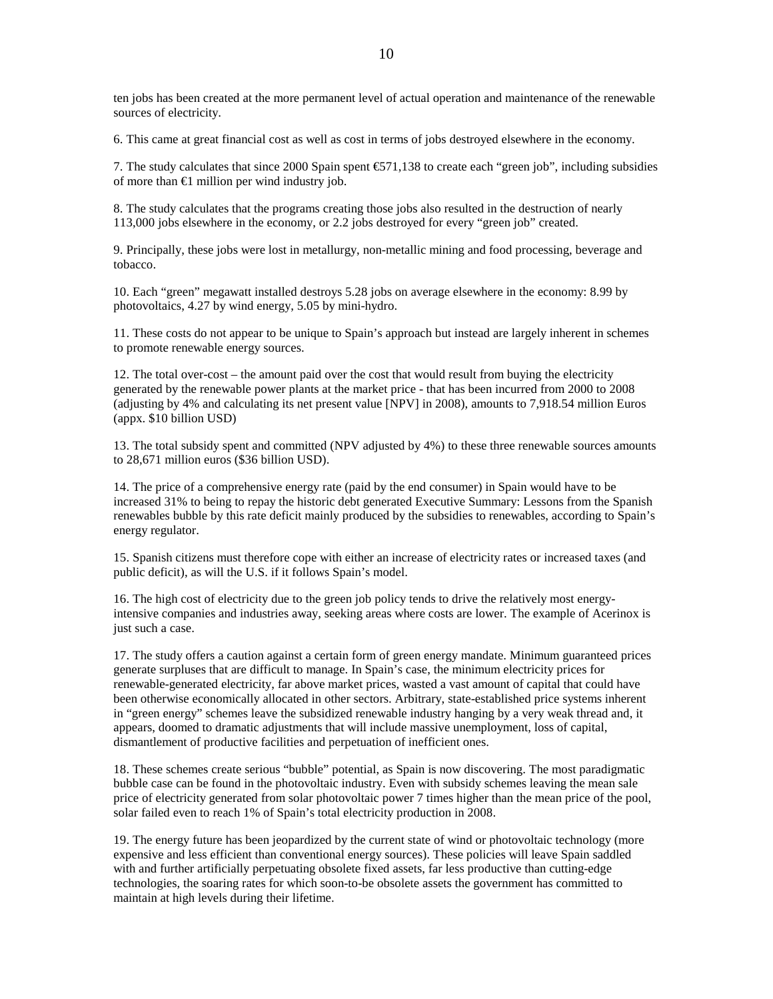ten jobs has been created at the more permanent level of actual operation and maintenance of the renewable sources of electricity.

6. This came at great financial cost as well as cost in terms of jobs destroyed elsewhere in the economy.

7. The study calculates that since 2000 Spain spent €571,138 to create each "green job", including subsidies of more than  $\epsilon$ 1 million per wind industry job.

8. The study calculates that the programs creating those jobs also resulted in the destruction of nearly 113,000 jobs elsewhere in the economy, or 2.2 jobs destroyed for every "green job" created.

9. Principally, these jobs were lost in metallurgy, non-metallic mining and food processing, beverage and tobacco.

10. Each "green" megawatt installed destroys 5.28 jobs on average elsewhere in the economy: 8.99 by photovoltaics, 4.27 by wind energy, 5.05 by mini-hydro.

11. These costs do not appear to be unique to Spain's approach but instead are largely inherent in schemes to promote renewable energy sources.

12. The total over-cost – the amount paid over the cost that would result from buying the electricity generated by the renewable power plants at the market price - that has been incurred from 2000 to 2008 (adjusting by 4% and calculating its net present value [NPV] in 2008), amounts to 7,918.54 million Euros (appx. \$10 billion USD)

13. The total subsidy spent and committed (NPV adjusted by 4%) to these three renewable sources amounts to 28,671 million euros (\$36 billion USD).

14. The price of a comprehensive energy rate (paid by the end consumer) in Spain would have to be increased 31% to being to repay the historic debt generated Executive Summary: Lessons from the Spanish renewables bubble by this rate deficit mainly produced by the subsidies to renewables, according to Spain's energy regulator.

15. Spanish citizens must therefore cope with either an increase of electricity rates or increased taxes (and public deficit), as will the U.S. if it follows Spain's model.

16. The high cost of electricity due to the green job policy tends to drive the relatively most energyintensive companies and industries away, seeking areas where costs are lower. The example of Acerinox is just such a case.

17. The study offers a caution against a certain form of green energy mandate. Minimum guaranteed prices generate surpluses that are difficult to manage. In Spain's case, the minimum electricity prices for renewable-generated electricity, far above market prices, wasted a vast amount of capital that could have been otherwise economically allocated in other sectors. Arbitrary, state-established price systems inherent in "green energy" schemes leave the subsidized renewable industry hanging by a very weak thread and, it appears, doomed to dramatic adjustments that will include massive unemployment, loss of capital, dismantlement of productive facilities and perpetuation of inefficient ones.

18. These schemes create serious "bubble" potential, as Spain is now discovering. The most paradigmatic bubble case can be found in the photovoltaic industry. Even with subsidy schemes leaving the mean sale price of electricity generated from solar photovoltaic power 7 times higher than the mean price of the pool, solar failed even to reach 1% of Spain's total electricity production in 2008.

19. The energy future has been jeopardized by the current state of wind or photovoltaic technology (more expensive and less efficient than conventional energy sources). These policies will leave Spain saddled with and further artificially perpetuating obsolete fixed assets, far less productive than cutting-edge technologies, the soaring rates for which soon-to-be obsolete assets the government has committed to maintain at high levels during their lifetime.